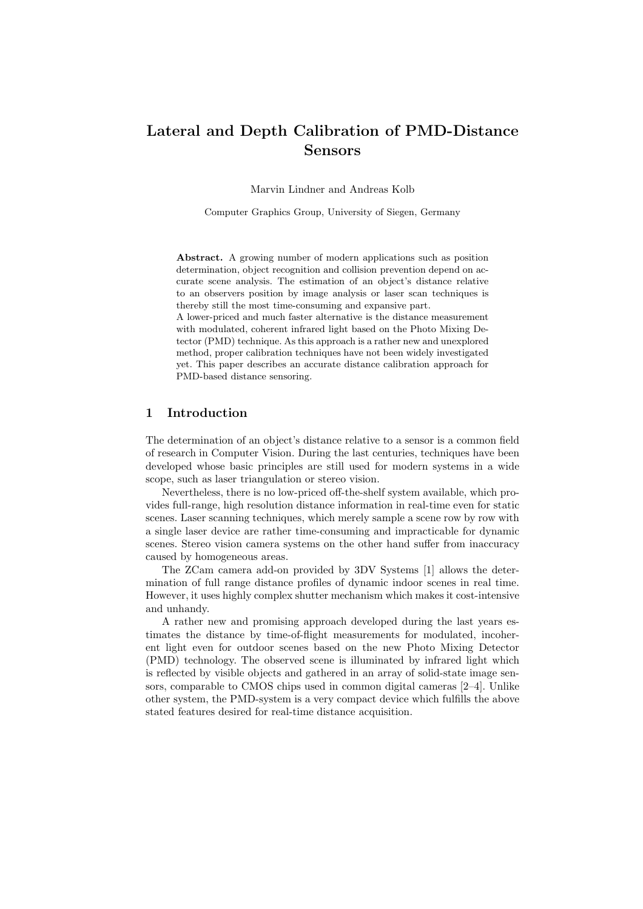# Lateral and Depth Calibration of PMD-Distance Sensors

Marvin Lindner and Andreas Kolb

Computer Graphics Group, University of Siegen, Germany

Abstract. A growing number of modern applications such as position determination, object recognition and collision prevention depend on accurate scene analysis. The estimation of an object's distance relative to an observers position by image analysis or laser scan techniques is thereby still the most time-consuming and expansive part.

A lower-priced and much faster alternative is the distance measurement with modulated, coherent infrared light based on the Photo Mixing Detector (PMD) technique. As this approach is a rather new and unexplored method, proper calibration techniques have not been widely investigated yet. This paper describes an accurate distance calibration approach for PMD-based distance sensoring.

### 1 Introduction

The determination of an object's distance relative to a sensor is a common field of research in Computer Vision. During the last centuries, techniques have been developed whose basic principles are still used for modern systems in a wide scope, such as laser triangulation or stereo vision.

Nevertheless, there is no low-priced off-the-shelf system available, which provides full-range, high resolution distance information in real-time even for static scenes. Laser scanning techniques, which merely sample a scene row by row with a single laser device are rather time-consuming and impracticable for dynamic scenes. Stereo vision camera systems on the other hand suffer from inaccuracy caused by homogeneous areas.

The ZCam camera add-on provided by 3DV Systems [1] allows the determination of full range distance profiles of dynamic indoor scenes in real time. However, it uses highly complex shutter mechanism which makes it cost-intensive and unhandy.

A rather new and promising approach developed during the last years estimates the distance by time-of-flight measurements for modulated, incoherent light even for outdoor scenes based on the new Photo Mixing Detector (PMD) technology. The observed scene is illuminated by infrared light which is reflected by visible objects and gathered in an array of solid-state image sensors, comparable to CMOS chips used in common digital cameras [2–4]. Unlike other system, the PMD-system is a very compact device which fulfills the above stated features desired for real-time distance acquisition.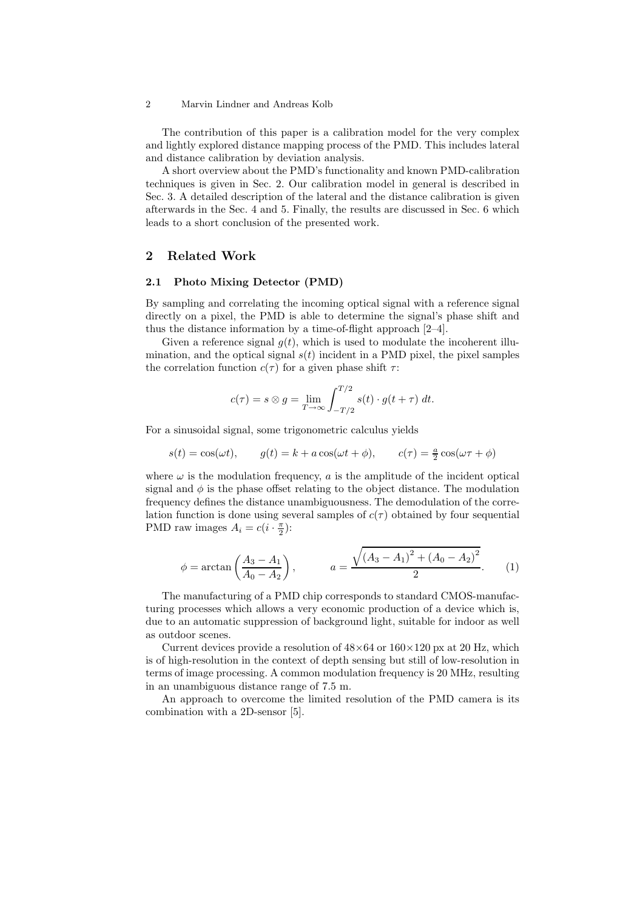2 Marvin Lindner and Andreas Kolb

The contribution of this paper is a calibration model for the very complex and lightly explored distance mapping process of the PMD. This includes lateral and distance calibration by deviation analysis.

A short overview about the PMD's functionality and known PMD-calibration techniques is given in Sec. 2. Our calibration model in general is described in Sec. 3. A detailed description of the lateral and the distance calibration is given afterwards in the Sec. 4 and 5. Finally, the results are discussed in Sec. 6 which leads to a short conclusion of the presented work.

# 2 Related Work

### 2.1 Photo Mixing Detector (PMD)

By sampling and correlating the incoming optical signal with a reference signal directly on a pixel, the PMD is able to determine the signal's phase shift and thus the distance information by a time-of-flight approach [2–4].

Given a reference signal  $q(t)$ , which is used to modulate the incoherent illumination, and the optical signal  $s(t)$  incident in a PMD pixel, the pixel samples the correlation function  $c(\tau)$  for a given phase shift  $\tau$ :

$$
c(\tau) = s \otimes g = \lim_{T \to \infty} \int_{-T/2}^{T/2} s(t) \cdot g(t + \tau) dt.
$$

For a sinusoidal signal, some trigonometric calculus yields

$$
s(t) = \cos(\omega t),
$$
  $g(t) = k + a\cos(\omega t + \phi),$   $c(\tau) = \frac{a}{2}\cos(\omega \tau + \phi)$ 

where  $\omega$  is the modulation frequency,  $a$  is the amplitude of the incident optical signal and  $\phi$  is the phase offset relating to the object distance. The modulation frequency defines the distance unambiguousness. The demodulation of the correlation function is done using several samples of  $c(\tau)$  obtained by four sequential PMD raw images  $A_i = c(i \cdot \frac{\pi}{2})$ :

$$
\phi = \arctan\left(\frac{A_3 - A_1}{A_0 - A_2}\right), \qquad a = \frac{\sqrt{(A_3 - A_1)^2 + (A_0 - A_2)^2}}{2}.
$$
 (1)

The manufacturing of a PMD chip corresponds to standard CMOS-manufacturing processes which allows a very economic production of a device which is, due to an automatic suppression of background light, suitable for indoor as well as outdoor scenes.

Current devices provide a resolution of  $48\times64$  or  $160\times120$  px at 20 Hz, which is of high-resolution in the context of depth sensing but still of low-resolution in terms of image processing. A common modulation frequency is 20 MHz, resulting in an unambiguous distance range of 7.5 m.

An approach to overcome the limited resolution of the PMD camera is its combination with a 2D-sensor [5].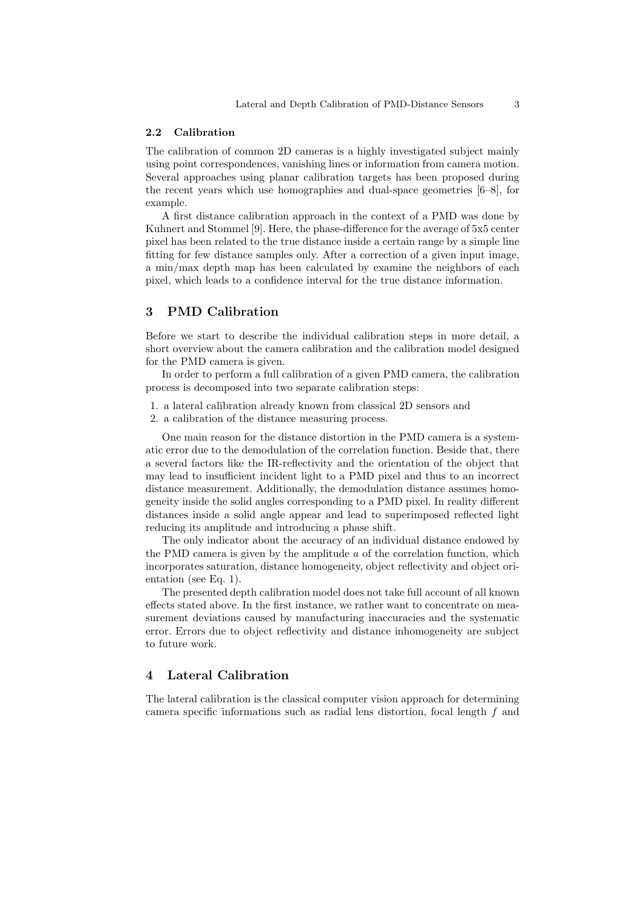### 2.2 Calibration

The calibration of common 2D cameras is a highly investigated subject mainly using point correspondences, vanishing lines or information from camera motion. Several approaches using planar calibration targets has been proposed during the recent years which use homographies and dual-space geometries [6–8], for example.

A first distance calibration approach in the context of a PMD was done by Kuhnert and Stommel [9]. Here, the phase-difference for the average of 5x5 center pixel has been related to the true distance inside a certain range by a simple line fitting for few distance samples only. After a correction of a given input image, a min/max depth map has been calculated by examine the neighbors of each pixel, which leads to a confidence interval for the true distance information.

# 3 PMD Calibration

Before we start to describe the individual calibration steps in more detail, a short overview about the camera calibration and the calibration model designed for the PMD camera is given.

In order to perform a full calibration of a given PMD camera, the calibration process is decomposed into two separate calibration steps:

- 1. a lateral calibration already known from classical 2D sensors and
- 2. a calibration of the distance measuring process.

One main reason for the distance distortion in the PMD camera is a systematic error due to the demodulation of the correlation function. Beside that, there a several factors like the IR-reflectivity and the orientation of the object that may lead to insufficient incident light to a PMD pixel and thus to an incorrect distance measurement. Additionally, the demodulation distance assumes homogeneity inside the solid angles corresponding to a PMD pixel. In reality different distances inside a solid angle appear and lead to superimposed reflected light reducing its amplitude and introducing a phase shift.

The only indicator about the accuracy of an individual distance endowed by the PMD camera is given by the amplitude  $a$  of the correlation function, which incorporates saturation, distance homogeneity, object reflectivity and object orientation (see Eq. 1).

The presented depth calibration model does not take full account of all known effects stated above. In the first instance, we rather want to concentrate on measurement deviations caused by manufacturing inaccuracies and the systematic error. Errors due to object reflectivity and distance inhomogeneity are subject to future work.

# 4 Lateral Calibration

The lateral calibration is the classical computer vision approach for determining camera specific informations such as radial lens distortion, focal length f and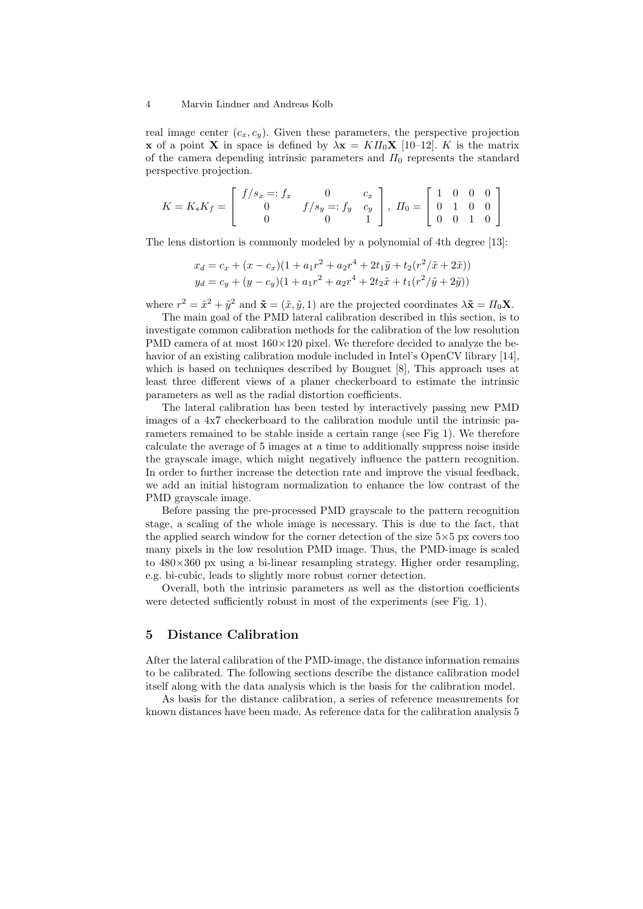#### 4 Marvin Lindner and Andreas Kolb

real image center  $(c_x, c_y)$ . Given these parameters, the perspective projection **x** of a point **X** in space is defined by  $\lambda \mathbf{x} = K H_0 \mathbf{X}$  [10–12]. K is the matrix of the camera depending intrinsic parameters and  $\Pi_0$  represents the standard perspective projection.

$$
K = K_s K_f = \begin{bmatrix} f/s_x =: f_x & 0 & c_x \\ 0 & f/s_y =: f_y & c_y \\ 0 & 0 & 1 \end{bmatrix}, \ H_0 = \begin{bmatrix} 1 & 0 & 0 & 0 \\ 0 & 1 & 0 & 0 \\ 0 & 0 & 1 & 0 \end{bmatrix}
$$

The lens distortion is commonly modeled by a polynomial of 4th degree [13]:

$$
x_d = c_x + (x - c_x)(1 + a_1r^2 + a_2r^4 + 2t_1\tilde{y} + t_2(r^2/\tilde{x} + 2\tilde{x}))
$$
  
\n
$$
y_d = c_y + (y - c_y)(1 + a_1r^2 + a_2r^4 + 2t_2\tilde{x} + t_1(r^2/\tilde{y} + 2\tilde{y}))
$$

where  $r^2 = \tilde{x}^2 + \tilde{y}^2$  and  $\tilde{\mathbf{x}} = (\tilde{x}, \tilde{y}, 1)$  are the projected coordinates  $\lambda \tilde{\mathbf{x}} = \Pi_0 \mathbf{X}$ .

The main goal of the PMD lateral calibration described in this section, is to investigate common calibration methods for the calibration of the low resolution PMD camera of at most  $160\times120$  pixel. We therefore decided to analyze the behavior of an existing calibration module included in Intel's OpenCV library [14], which is based on techniques described by Bouguet [8], This approach uses at least three different views of a planer checkerboard to estimate the intrinsic parameters as well as the radial distortion coefficients.

The lateral calibration has been tested by interactively passing new PMD images of a 4x7 checkerboard to the calibration module until the intrinsic parameters remained to be stable inside a certain range (see Fig 1). We therefore calculate the average of 5 images at a time to additionally suppress noise inside the grayscale image, which might negatively influence the pattern recognition. In order to further increase the detection rate and improve the visual feedback, we add an initial histogram normalization to enhance the low contrast of the PMD grayscale image.

Before passing the pre-processed PMD grayscale to the pattern recognition stage, a scaling of the whole image is necessary. This is due to the fact, that the applied search window for the corner detection of the size 5×5 px covers too many pixels in the low resolution PMD image. Thus, the PMD-image is scaled to 480×360 px using a bi-linear resampling strategy. Higher order resampling, e.g. bi-cubic, leads to slightly more robust corner detection.

Overall, both the intrinsic parameters as well as the distortion coefficients were detected sufficiently robust in most of the experiments (see Fig. 1).

# 5 Distance Calibration

After the lateral calibration of the PMD-image, the distance information remains to be calibrated. The following sections describe the distance calibration model itself along with the data analysis which is the basis for the calibration model.

As basis for the distance calibration, a series of reference measurements for known distances have been made. As reference data for the calibration analysis 5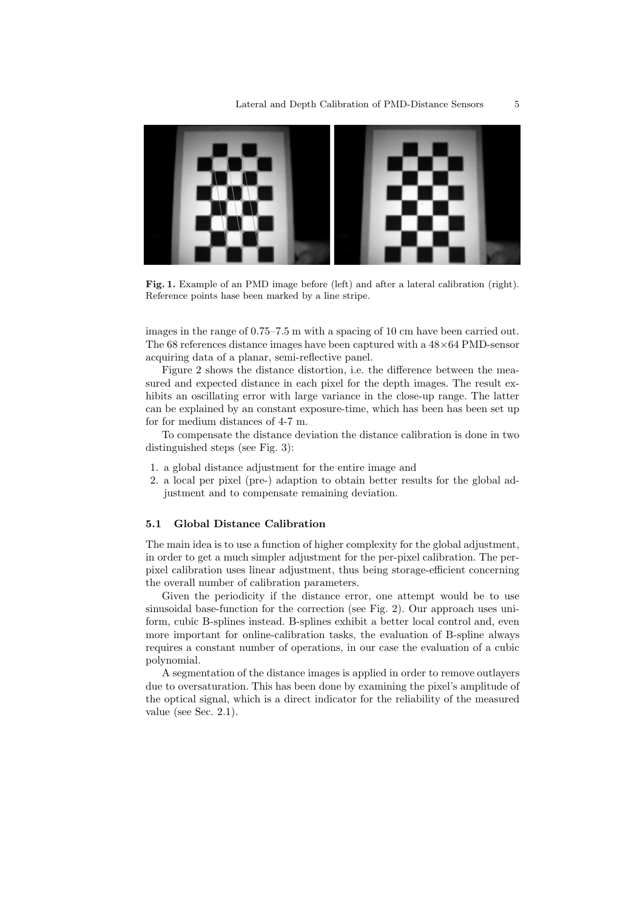

Fig. 1. Example of an PMD image before (left) and after a lateral calibration (right). Reference points hase been marked by a line stripe.

images in the range of 0.75–7.5 m with a spacing of 10 cm have been carried out. The 68 references distance images have been captured with a  $48\times64$  PMD-sensor acquiring data of a planar, semi-reflective panel.

Figure 2 shows the distance distortion, i.e. the difference between the measured and expected distance in each pixel for the depth images. The result exhibits an oscillating error with large variance in the close-up range. The latter can be explained by an constant exposure-time, which has been has been set up for for medium distances of 4-7 m.

To compensate the distance deviation the distance calibration is done in two distinguished steps (see Fig. 3):

- 1. a global distance adjustment for the entire image and
- 2. a local per pixel (pre-) adaption to obtain better results for the global adjustment and to compensate remaining deviation.

# 5.1 Global Distance Calibration

The main idea is to use a function of higher complexity for the global adjustment, in order to get a much simpler adjustment for the per-pixel calibration. The perpixel calibration uses linear adjustment, thus being storage-efficient concerning the overall number of calibration parameters.

Given the periodicity if the distance error, one attempt would be to use sinusoidal base-function for the correction (see Fig. 2). Our approach uses uniform, cubic B-splines instead. B-splines exhibit a better local control and, even more important for online-calibration tasks, the evaluation of B-spline always requires a constant number of operations, in our case the evaluation of a cubic polynomial.

A segmentation of the distance images is applied in order to remove outlayers due to oversaturation. This has been done by examining the pixel's amplitude of the optical signal, which is a direct indicator for the reliability of the measured value (see Sec. 2.1).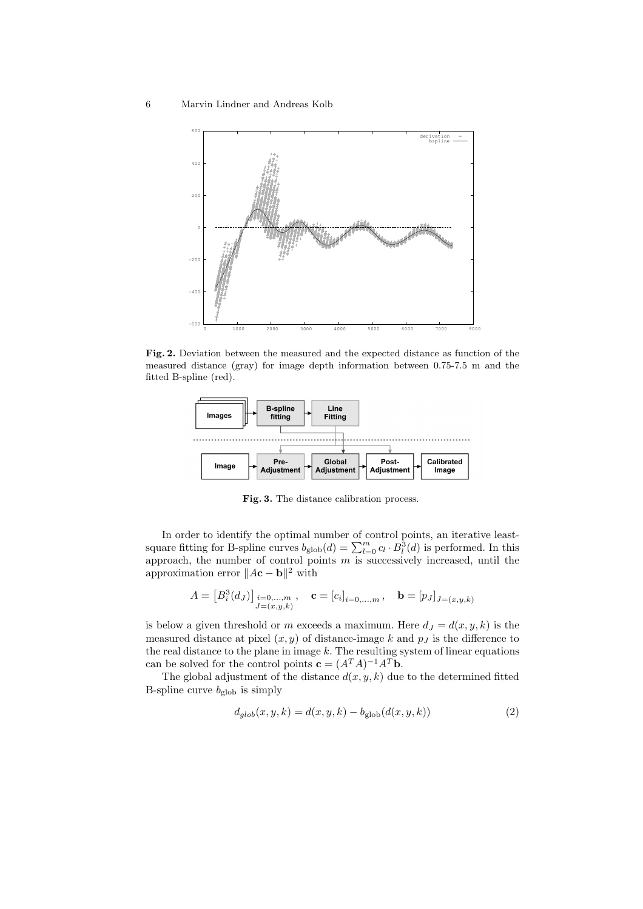

Fig. 2. Deviation between the measured and the expected distance as function of the measured distance (gray) for image depth information between 0.75-7.5 m and the fitted B-spline (red).



Fig. 3. The distance calibration process.

In order to identify the optimal number of control points, an iterative leastsquare fitting for B-spline curves  $b_{\text{glob}}(d) = \sum_{l=0}^{m} c_l \cdot B_l^3(d)$  is performed. In this approach, the number of control points  $m$  is successively increased, until the approximation error  $||A\mathbf{c} - \mathbf{b}||^2$  with

$$
A=\left[B_i^3(d_J)\right]_{\substack{i=0,\ldots,m\\J=(x,y,k)}},\quad \mathbf{c}=\left[c_i\right]_{i=0,\ldots,m},\quad \mathbf{b}=\left[p_J\right]_{J=(x,y,k)}
$$

is below a given threshold or m exceeds a maximum. Here  $d_J = d(x, y, k)$  is the measured distance at pixel  $(x, y)$  of distance-image k and  $p<sub>J</sub>$  is the difference to the real distance to the plane in image  $k$ . The resulting system of linear equations can be solved for the control points  $\mathbf{c} = (A^T A)^{-1} A^T \mathbf{b}$ .

The global adjustment of the distance  $d(x, y, k)$  due to the determined fitted B-spline curve  $b_{\text{glob}}$  is simply

$$
d_{glob}(x, y, k) = d(x, y, k) - b_{glob}(d(x, y, k))
$$
\n(2)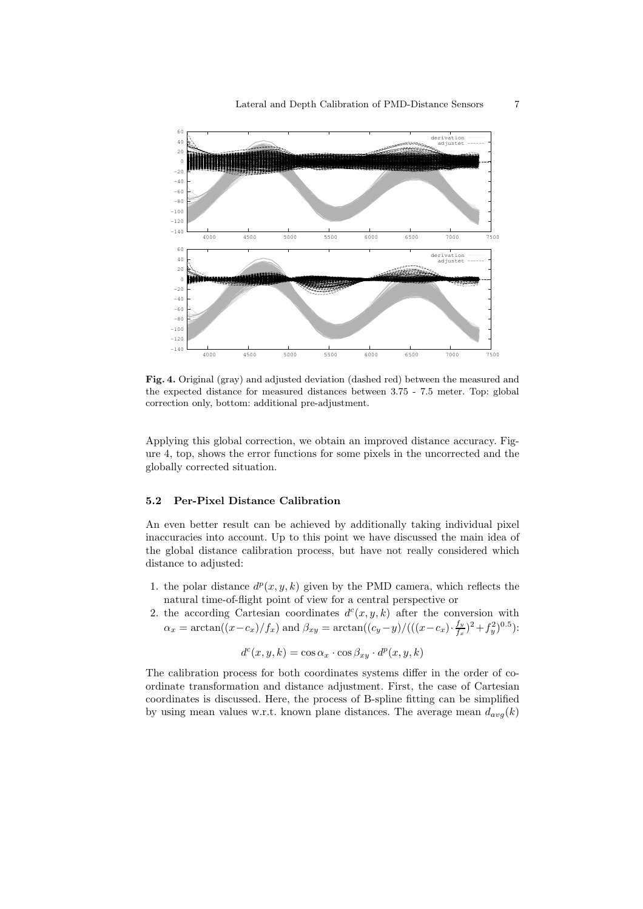

Fig. 4. Original (gray) and adjusted deviation (dashed red) between the measured and the expected distance for measured distances between 3.75 - 7.5 meter. Top: global correction only, bottom: additional pre-adjustment.

Applying this global correction, we obtain an improved distance accuracy. Figure 4, top, shows the error functions for some pixels in the uncorrected and the globally corrected situation.

### 5.2 Per-Pixel Distance Calibration

An even better result can be achieved by additionally taking individual pixel inaccuracies into account. Up to this point we have discussed the main idea of the global distance calibration process, but have not really considered which distance to adjusted:

- 1. the polar distance  $d^p(x, y, k)$  given by the PMD camera, which reflects the natural time-of-flight point of view for a central perspective or
- 2. the according Cartesian coordinates  $d^c(x, y, k)$  after the conversion with  $\alpha_x = \arctan((x-c_x)/f_x)$  and  $\beta_{xy} = \arctan((c_y-y)/((x-c_x)\cdot \frac{f_y}{f_x})$  $(\frac{f_y}{f_x})^2 + f_y^2)^{0.5}$ ):

$$
d^{c}(x, y, k) = \cos \alpha_{x} \cdot \cos \beta_{xy} \cdot d^{p}(x, y, k)
$$

The calibration process for both coordinates systems differ in the order of coordinate transformation and distance adjustment. First, the case of Cartesian coordinates is discussed. Here, the process of B-spline fitting can be simplified by using mean values w.r.t. known plane distances. The average mean  $d_{avg}(k)$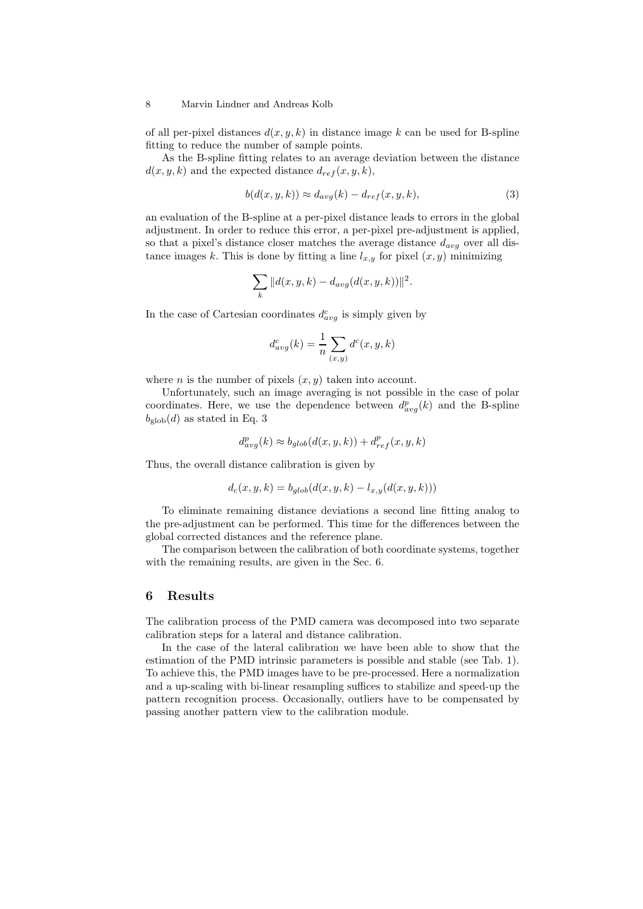#### 8 Marvin Lindner and Andreas Kolb

of all per-pixel distances  $d(x, y, k)$  in distance image k can be used for B-spline fitting to reduce the number of sample points.

As the B-spline fitting relates to an average deviation between the distance  $d(x, y, k)$  and the expected distance  $d_{ref}(x, y, k)$ ,

$$
b(d(x, y, k)) \approx d_{avg}(k) - d_{ref}(x, y, k),
$$
\n(3)

an evaluation of the B-spline at a per-pixel distance leads to errors in the global adjustment. In order to reduce this error, a per-pixel pre-adjustment is applied, so that a pixel's distance closer matches the average distance  $d_{avg}$  over all distance images k. This is done by fitting a line  $l_{x,y}$  for pixel  $(x, y)$  minimizing

$$
\sum_{k} ||d(x, y, k) - d_{avg}(d(x, y, k))||^{2}.
$$

In the case of Cartesian coordinates  $d_{avg}^c$  is simply given by

$$
d_{avg}^c(k) = \frac{1}{n} \sum_{(x,y)} d^c(x,y,k)
$$

where *n* is the number of pixels  $(x, y)$  taken into account.

Unfortunately, such an image averaging is not possible in the case of polar coordinates. Here, we use the dependence between  $d_{avg}^p(k)$  and the B-spline  $b_{\text{glob}}(d)$  as stated in Eq. 3

$$
d_{avg}^p(k) \approx b_{glob}(d(x, y, k)) + d_{ref}^p(x, y, k)
$$

Thus, the overall distance calibration is given by

$$
d_c(x, y, k) = b_{glob}(d(x, y, k) - l_{x, y}(d(x, y, k)))
$$

To eliminate remaining distance deviations a second line fitting analog to the pre-adjustment can be performed. This time for the differences between the global corrected distances and the reference plane.

The comparison between the calibration of both coordinate systems, together with the remaining results, are given in the Sec. 6.

### 6 Results

The calibration process of the PMD camera was decomposed into two separate calibration steps for a lateral and distance calibration.

In the case of the lateral calibration we have been able to show that the estimation of the PMD intrinsic parameters is possible and stable (see Tab. 1). To achieve this, the PMD images have to be pre-processed. Here a normalization and a up-scaling with bi-linear resampling suffices to stabilize and speed-up the pattern recognition process. Occasionally, outliers have to be compensated by passing another pattern view to the calibration module.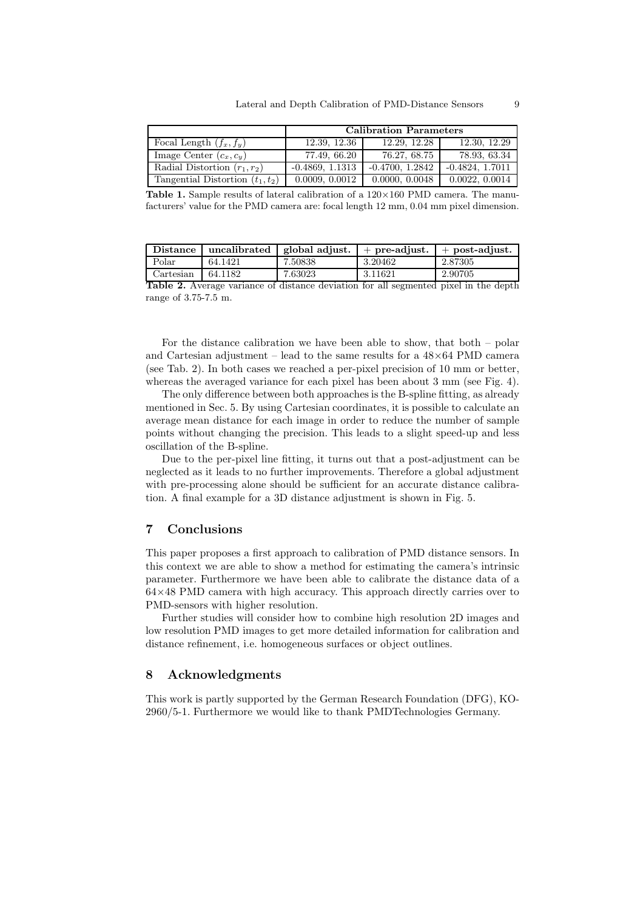|                                    | <b>Calibration Parameters</b> |                   |                   |  |
|------------------------------------|-------------------------------|-------------------|-------------------|--|
| Focal Length $(f_x, f_y)$          | 12.39, 12.36                  | 12.29, 12.28      | 12.30, 12.29      |  |
| Image Center $(c_x, c_y)$          | 77.49, 66.20                  | 76.27, 68.75      | 78.93, 63.34      |  |
| Radial Distortion $(r_1, r_2)$     | $-0.4869, 1.1313$             | $-0.4700, 1.2842$ | $-0.4824, 1.7011$ |  |
| Tangential Distortion $(t_1, t_2)$ | 0.0009, 0.0012                | 0.0000, 0.0048    | 0.0022, 0.0014    |  |

**Table 1.** Sample results of lateral calibration of a  $120 \times 160$  PMD camera. The manufacturers' value for the PMD camera are: focal length 12 mm, 0.04 mm pixel dimension.

| <b>Distance</b> | uncalibrated | global adiust. | $+$ pre-adjust. | $+$ post-adjust. |
|-----------------|--------------|----------------|-----------------|------------------|
| Polar           | 64.1421      | 7.50838        | 3.20462         | 2.87305          |
| Cartesian       | 64.1182      | 7.63023        | 3.11621         | 2.90705          |

Table 2. Average variance of distance deviation for all segmented pixel in the depth range of 3.75-7.5 m.

For the distance calibration we have been able to show, that both – polar and Cartesian adjustment – lead to the same results for a  $48\times64$  PMD camera (see Tab. 2). In both cases we reached a per-pixel precision of 10 mm or better, whereas the averaged variance for each pixel has been about 3 mm (see Fig. 4).

The only difference between both approaches is the B-spline fitting, as already mentioned in Sec. 5. By using Cartesian coordinates, it is possible to calculate an average mean distance for each image in order to reduce the number of sample points without changing the precision. This leads to a slight speed-up and less oscillation of the B-spline.

Due to the per-pixel line fitting, it turns out that a post-adjustment can be neglected as it leads to no further improvements. Therefore a global adjustment with pre-processing alone should be sufficient for an accurate distance calibration. A final example for a 3D distance adjustment is shown in Fig. 5.

# 7 Conclusions

This paper proposes a first approach to calibration of PMD distance sensors. In this context we are able to show a method for estimating the camera's intrinsic parameter. Furthermore we have been able to calibrate the distance data of a  $64\times48$  PMD camera with high accuracy. This approach directly carries over to PMD-sensors with higher resolution.

Further studies will consider how to combine high resolution 2D images and low resolution PMD images to get more detailed information for calibration and distance refinement, i.e. homogeneous surfaces or object outlines.

# 8 Acknowledgments

This work is partly supported by the German Research Foundation (DFG), KO-2960/5-1. Furthermore we would like to thank PMDTechnologies Germany.